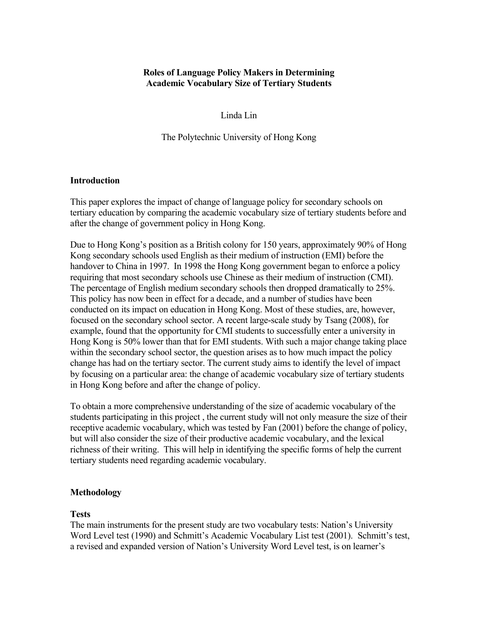# **Roles of Language Policy Makers in Determining Academic Vocabulary Size of Tertiary Students**

Linda Lin

The Polytechnic University of Hong Kong

### **Introduction**

This paper explores the impact of change of language policy for secondary schools on tertiary education by comparing the academic vocabulary size of tertiary students before and after the change of government policy in Hong Kong.

Due to Hong Kong's position as a British colony for 150 years, approximately 90% of Hong Kong secondary schools used English as their medium of instruction (EMI) before the handover to China in 1997. In 1998 the Hong Kong government began to enforce a policy requiring that most secondary schools use Chinese as their medium of instruction (CMI). The percentage of English medium secondary schools then dropped dramatically to 25%. This policy has now been in effect for a decade, and a number of studies have been conducted on its impact on education in Hong Kong. Most of these studies, are, however, focused on the secondary school sector. A recent large-scale study by Tsang (2008), for example, found that the opportunity for CMI students to successfully enter a university in Hong Kong is 50% lower than that for EMI students. With such a major change taking place within the secondary school sector, the question arises as to how much impact the policy change has had on the tertiary sector. The current study aims to identify the level of impact by focusing on a particular area: the change of academic vocabulary size of tertiary students in Hong Kong before and after the change of policy.

To obtain a more comprehensive understanding of the size of academic vocabulary of the students participating in this project , the current study will not only measure the size of their receptive academic vocabulary, which was tested by Fan (2001) before the change of policy, but will also consider the size of their productive academic vocabulary, and the lexical richness of their writing. This will help in identifying the specific forms of help the current tertiary students need regarding academic vocabulary.

# **Methodology**

# **Tests**

The main instruments for the present study are two vocabulary tests: Nation's University Word Level test (1990) and Schmitt's Academic Vocabulary List test (2001). Schmitt's test, a revised and expanded version of Nation's University Word Level test, is on learner's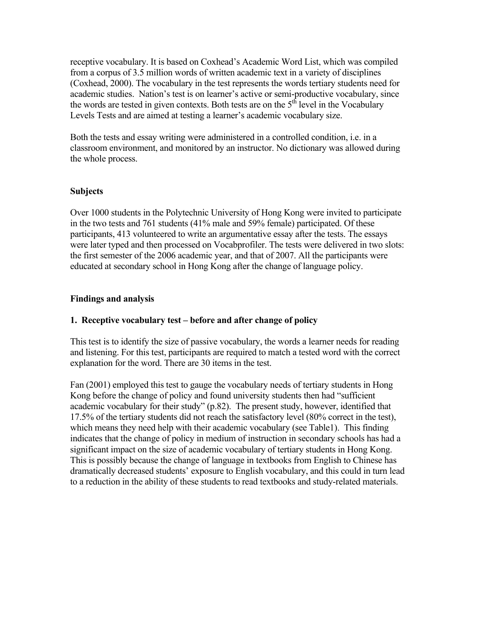receptive vocabulary. It is based on Coxhead's Academic Word List, which was compiled from a corpus of 3.5 million words of written academic text in a variety of disciplines (Coxhead, 2000). The vocabulary in the test represents the words tertiary students need for academic studies. Nation's test is on learner's active or semi-productive vocabulary, since the words are tested in given contexts. Both tests are on the  $5<sup>th</sup>$  level in the Vocabulary Levels Tests and are aimed at testing a learner's academic vocabulary size.

Both the tests and essay writing were administered in a controlled condition, i.e. in a classroom environment, and monitored by an instructor. No dictionary was allowed during the whole process.

### **Subjects**

Over 1000 students in the Polytechnic University of Hong Kong were invited to participate in the two tests and 761 students (41% male and 59% female) participated. Of these participants, 413 volunteered to write an argumentative essay after the tests. The essays were later typed and then processed on Vocabprofiler. The tests were delivered in two slots: the first semester of the 2006 academic year, and that of 2007. All the participants were educated at secondary school in Hong Kong after the change of language policy.

#### **Findings and analysis**

### **1. Receptive vocabulary test – before and after change of policy**

This test is to identify the size of passive vocabulary, the words a learner needs for reading and listening. For this test, participants are required to match a tested word with the correct explanation for the word. There are 30 items in the test.

Fan (2001) employed this test to gauge the vocabulary needs of tertiary students in Hong Kong before the change of policy and found university students then had "sufficient academic vocabulary for their study" (p.82). The present study, however, identified that 17.5% of the tertiary students did not reach the satisfactory level (80% correct in the test), which means they need help with their academic vocabulary (see Table1). This finding indicates that the change of policy in medium of instruction in secondary schools has had a significant impact on the size of academic vocabulary of tertiary students in Hong Kong. This is possibly because the change of language in textbooks from English to Chinese has dramatically decreased students' exposure to English vocabulary, and this could in turn lead to a reduction in the ability of these students to read textbooks and study-related materials.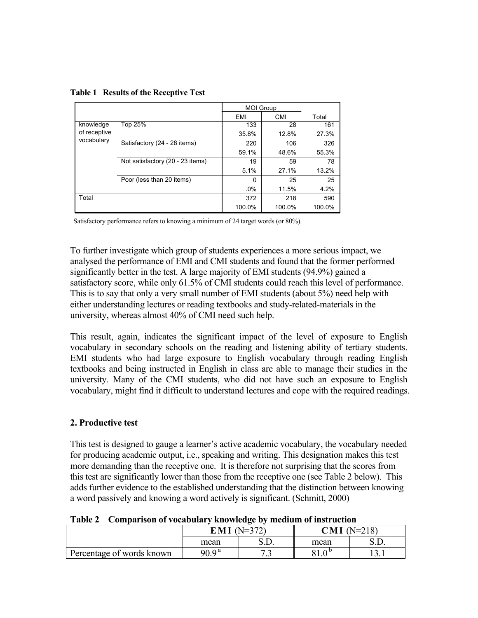|  | Table 1 Results of the Receptive Test |  |
|--|---------------------------------------|--|
|  |                                       |  |

|              |                                  | <b>MOI Group</b> |            |        |
|--------------|----------------------------------|------------------|------------|--------|
|              |                                  | EMI              | <b>CMI</b> | Total  |
| knowledge    | Top 25%                          | 133              | 28         | 161    |
| of receptive |                                  | 35.8%            | 12.8%      | 27.3%  |
| vocabulary   | Satisfactory (24 - 28 items)     | 220              | 106        | 326    |
|              |                                  | 59.1%            | 48.6%      | 55.3%  |
|              | Not satisfactory (20 - 23 items) | 19               | 59         | 78     |
|              |                                  | 5.1%             | 27.1%      | 13.2%  |
|              | Poor (less than 20 items)        | 0                | 25         | 25     |
|              |                                  | .0%              | 11.5%      | 4.2%   |
| Total        |                                  | 372              | 218        | 590    |
|              |                                  | 100.0%           | 100.0%     | 100.0% |

Satisfactory performance refers to knowing a minimum of 24 target words (or 80%).

To further investigate which group of students experiences a more serious impact, we analysed the performance of EMI and CMI students and found that the former performed significantly better in the test. A large majority of EMI students (94.9%) gained a satisfactory score, while only 61.5% of CMI students could reach this level of performance. This is to say that only a very small number of EMI students (about 5%) need help with either understanding lectures or reading textbooks and study-related-materials in the university, whereas almost 40% of CMI need such help.

This result, again, indicates the significant impact of the level of exposure to English vocabulary in secondary schools on the reading and listening ability of tertiary students. EMI students who had large exposure to English vocabulary through reading English textbooks and being instructed in English in class are able to manage their studies in the university. Many of the CMI students, who did not have such an exposure to English vocabulary, might find it difficult to understand lectures and cope with the required readings.

### **2. Productive test**

This test is designed to gauge a learner's active academic vocabulary, the vocabulary needed for producing academic output, i.e., speaking and writing. This designation makes this test more demanding than the receptive one. It is therefore not surprising that the scores from this test are significantly lower than those from the receptive one (see Table 2 below). This adds further evidence to the established understanding that the distinction between knowing a word passively and knowing a word actively is significant. (Schmitt, 2000)

| $1$ avit $4$<br>- Comparison or vocabulary Knowledge by Incurant of msu action |                        |  |               |  |  |  |
|--------------------------------------------------------------------------------|------------------------|--|---------------|--|--|--|
|                                                                                | <b>EMI</b> ( $N=372$ ) |  | $CMI$ (N=218) |  |  |  |
|                                                                                | mean                   |  | mean          |  |  |  |
| Percentage of words known                                                      | $909^{\rm a}$          |  |               |  |  |  |

**Table 2 Comparison of vocabulary knowledge by medium of instruction**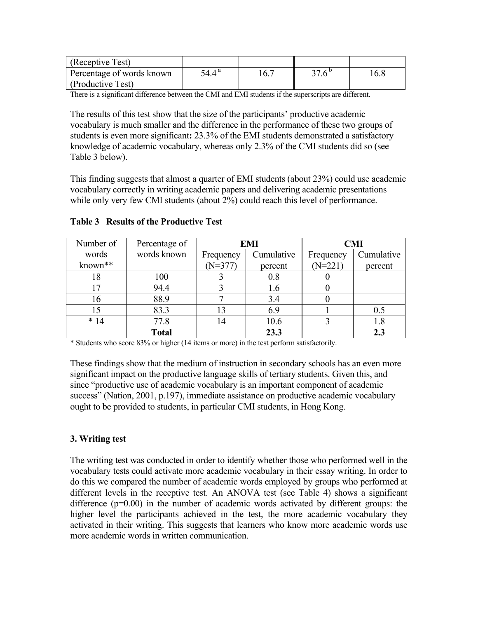| (Receptive Test)          |       |      |             |      |
|---------------------------|-------|------|-------------|------|
| Percentage of words known | 54.4ª | 16.7 | $276^\circ$ | 16.8 |
| (Productive Test)         |       |      |             |      |

There is a significant difference between the CMI and EMI students if the superscripts are different.

The results of this test show that the size of the participants' productive academic vocabulary is much smaller and the difference in the performance of these two groups of students is even more significant**:** 23.3% of the EMI students demonstrated a satisfactory knowledge of academic vocabulary, whereas only 2.3% of the CMI students did so (see Table 3 below).

This finding suggests that almost a quarter of EMI students (about 23%) could use academic vocabulary correctly in writing academic papers and delivering academic presentations while only very few CMI students (about 2%) could reach this level of performance.

| Number of | Percentage of | <b>EMI</b> |            | <b>CMI</b> |            |
|-----------|---------------|------------|------------|------------|------------|
| words     | words known   | Frequency  | Cumulative | Frequency  | Cumulative |
| known**   |               | $(N=377)$  | percent    | $(N=221)$  | percent    |
| 18        | 100           |            | 0.8        |            |            |
| 17        | 94.4          |            | 1.6        |            |            |
| 16        | 88.9          |            | 3.4        |            |            |
| 15        | 83.3          | 13         | 6.9        |            | 0.5        |
| $*14$     | 77.8          | 14         | 10.6       |            | 1.8        |
|           | <b>Total</b>  |            | 23.3       |            |            |

**Table 3 Results of the Productive Test** 

\* Students who score 83% or higher (14 items or more) in the test perform satisfactorily.

These findings show that the medium of instruction in secondary schools has an even more significant impact on the productive language skills of tertiary students. Given this, and since "productive use of academic vocabulary is an important component of academic success" (Nation, 2001, p.197), immediate assistance on productive academic vocabulary ought to be provided to students, in particular CMI students, in Hong Kong.

# **3. Writing test**

The writing test was conducted in order to identify whether those who performed well in the vocabulary tests could activate more academic vocabulary in their essay writing. In order to do this we compared the number of academic words employed by groups who performed at different levels in the receptive test. An ANOVA test (see Table 4) shows a significant difference  $(p=0.00)$  in the number of academic words activated by different groups: the higher level the participants achieved in the test, the more academic vocabulary they activated in their writing. This suggests that learners who know more academic words use more academic words in written communication.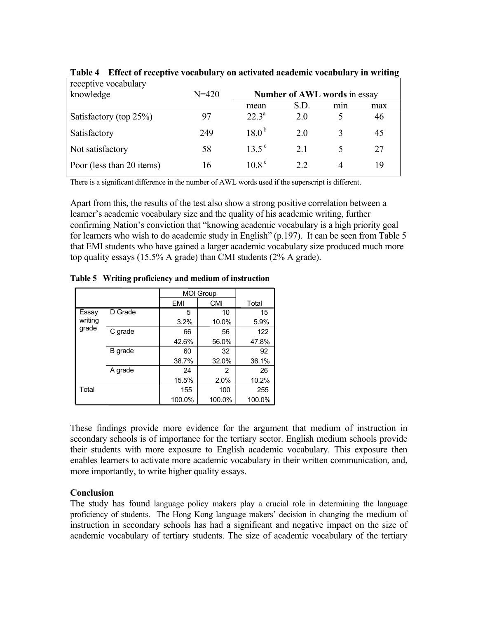| receptive vocabulary      |           |                                     |      |     |     |
|---------------------------|-----------|-------------------------------------|------|-----|-----|
| knowledge                 | $N = 420$ | <b>Number of AWL words in essay</b> |      |     |     |
|                           |           | mean                                | S.D. | min | max |
| Satisfactory (top 25%)    | 97        | 22 <sup>3</sup>                     | 20   |     | 46  |
| Satisfactory              | 249       | $18.0^{b}$                          | 2.0  |     | 45  |
| Not satisfactory          | 58        | $13.5^{\circ}$                      | 2.1  |     | 27  |
| Poor (less than 20 items) | 16        | $108^{\circ}$                       | 22   | 4   | 19  |

**Table 4 Effect of receptive vocabulary on activated academic vocabulary in writing** 

There is a significant difference in the number of AWL words used if the superscript is different.

Apart from this, the results of the test also show a strong positive correlation between a learner's academic vocabulary size and the quality of his academic writing, further confirming Nation's conviction that "knowing academic vocabulary is a high priority goal for learners who wish to do academic study in English" (p.197). It can be seen from Table 5 that EMI students who have gained a larger academic vocabulary size produced much more top quality essays (15.5% A grade) than CMI students (2% A grade).

|         |         | <b>MOI Group</b> |            |        |
|---------|---------|------------------|------------|--------|
|         |         | EMI              | <b>CMI</b> | Total  |
| Essay   | D Grade | 5                | 10         | 15     |
| writing |         | 3.2%             | 10.0%      | 5.9%   |
| grade   | C grade | 66               | 56         | 122    |
|         |         | 42.6%            | 56.0%      | 47.8%  |
|         | B grade | 60               | 32         | 92     |
|         |         | 38.7%            | 32.0%      | 36.1%  |
|         | A grade | 24               | 2          | 26     |
|         |         | 15.5%            | 2.0%       | 10.2%  |
| Total   |         | 155              | 100        | 255    |
|         |         | 100.0%           | 100.0%     | 100.0% |

**Table 5 Writing proficiency and medium of instruction** 

These findings provide more evidence for the argument that medium of instruction in secondary schools is of importance for the tertiary sector. English medium schools provide their students with more exposure to English academic vocabulary. This exposure then enables learners to activate more academic vocabulary in their written communication, and, more importantly, to write higher quality essays.

### **Conclusion**

The study has found language policy makers play a crucial role in determining the language proficiency of students. The Hong Kong language makers' decision in changing the medium of instruction in secondary schools has had a significant and negative impact on the size of academic vocabulary of tertiary students. The size of academic vocabulary of the tertiary